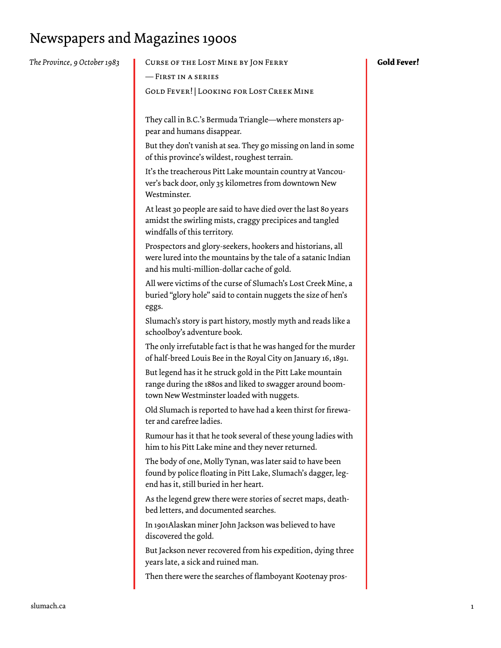## Newspapers and Magazines 1900s

| The Province, 9 October 1983 | CURSE OF THE LOST MINE BY JON FERRY                                                                                                                                        | <b>Gold Fever!</b> |
|------------------------------|----------------------------------------------------------------------------------------------------------------------------------------------------------------------------|--------------------|
|                              | - FIRST IN A SERIES                                                                                                                                                        |                    |
|                              | <b>GOLD FEVER!   LOOKING FOR LOST CREEK MINE</b>                                                                                                                           |                    |
|                              | They call in B.C.'s Bermuda Triangle-where monsters ap-<br>pear and humans disappear.                                                                                      |                    |
|                              | But they don't vanish at sea. They go missing on land in some<br>of this province's wildest, roughest terrain.                                                             |                    |
|                              | It's the treacherous Pitt Lake mountain country at Vancou-<br>ver's back door, only 35 kilometres from downtown New<br>Westminster.                                        |                    |
|                              | At least 30 people are said to have died over the last 80 years<br>amidst the swirling mists, craggy precipices and tangled<br>windfalls of this territory.                |                    |
|                              | Prospectors and glory-seekers, hookers and historians, all<br>were lured into the mountains by the tale of a satanic Indian<br>and his multi-million-dollar cache of gold. |                    |
|                              | All were victims of the curse of Slumach's Lost Creek Mine, a<br>buried "glory hole" said to contain nuggets the size of hen's<br>eggs.                                    |                    |
|                              | Slumach's story is part history, mostly myth and reads like a<br>schoolboy's adventure book.                                                                               |                    |
|                              | The only irrefutable fact is that he was hanged for the murder<br>of half-breed Louis Bee in the Royal City on January 16, 1891.                                           |                    |
|                              | But legend has it he struck gold in the Pitt Lake mountain<br>range during the 1880s and liked to swagger around boom-<br>town New Westminster loaded with nuggets.        |                    |
|                              | Old Slumach is reported to have had a keen thirst for firewa-<br>ter and carefree ladies.                                                                                  |                    |
|                              | Rumour has it that he took several of these young ladies with<br>him to his Pitt Lake mine and they never returned.                                                        |                    |
|                              | The body of one, Molly Tynan, was later said to have been<br>found by police floating in Pitt Lake, Slumach's dagger, leg-<br>end has it, still buried in her heart.       |                    |
|                              | As the legend grew there were stories of secret maps, death-<br>bed letters, and documented searches.                                                                      |                    |
|                              | In 1901Alaskan miner John Jackson was believed to have<br>discovered the gold.                                                                                             |                    |
|                              | But Jackson never recovered from his expedition, dying three<br>years late, a sick and ruined man.                                                                         |                    |
|                              | Then there were the searches of flamboyant Kootenay pros-                                                                                                                  |                    |